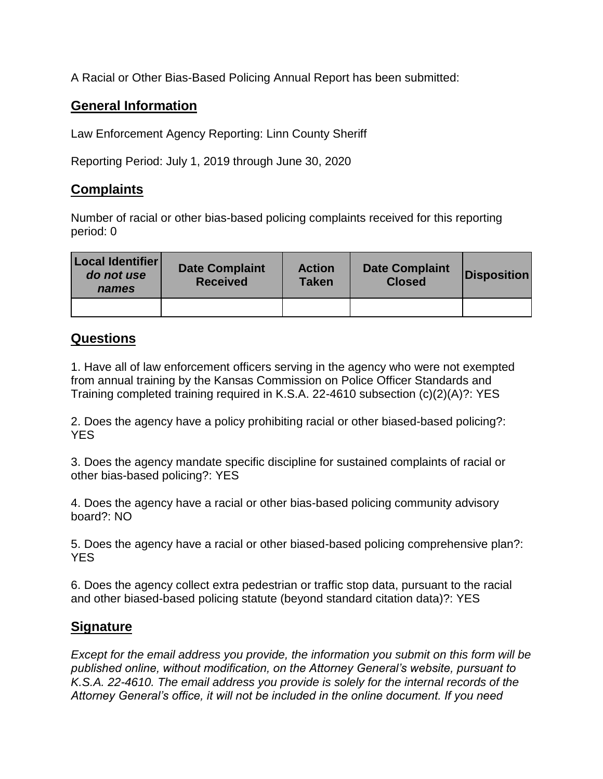A Racial or Other Bias-Based Policing Annual Report has been submitted:

## **General Information**

Law Enforcement Agency Reporting: Linn County Sheriff

Reporting Period: July 1, 2019 through June 30, 2020

## **Complaints**

Number of racial or other bias-based policing complaints received for this reporting period: 0

| Local Identifier<br>do not use<br>names | <b>Date Complaint</b><br><b>Received</b> | <b>Action</b><br><b>Taken</b> | <b>Date Complaint</b><br><b>Closed</b> | <b>Disposition</b> |
|-----------------------------------------|------------------------------------------|-------------------------------|----------------------------------------|--------------------|
|                                         |                                          |                               |                                        |                    |

## **Questions**

1. Have all of law enforcement officers serving in the agency who were not exempted from annual training by the Kansas Commission on Police Officer Standards and Training completed training required in K.S.A. 22-4610 subsection (c)(2)(A)?: YES

2. Does the agency have a policy prohibiting racial or other biased-based policing?: YES

3. Does the agency mandate specific discipline for sustained complaints of racial or other bias-based policing?: YES

4. Does the agency have a racial or other bias-based policing community advisory board?: NO

5. Does the agency have a racial or other biased-based policing comprehensive plan?: **YES** 

6. Does the agency collect extra pedestrian or traffic stop data, pursuant to the racial and other biased-based policing statute (beyond standard citation data)?: YES

## **Signature**

*Except for the email address you provide, the information you submit on this form will be published online, without modification, on the Attorney General's website, pursuant to K.S.A. 22-4610. The email address you provide is solely for the internal records of the Attorney General's office, it will not be included in the online document. If you need*